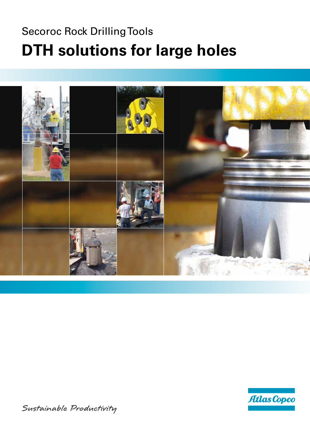# Secoroc Rock Drilling Tools **DTH solutions for large holes**





Sustainable Productivity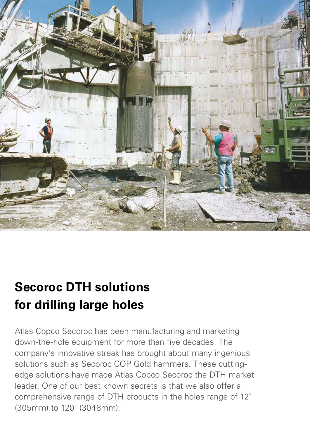

# **Secoroc DTH solutions for drilling large holes**

Atlas Copco Secoroc has been manufacturing and marketing down-the-hole equipment for more than five decades. The company's innovative streak has brought about many ingenious solutions such as Secoroc COP Gold hammers. These cuttingedge solutions have made Atlas Copco Secoroc the DTH market leader. One of our best known secrets is that we also offer a comprehensive range of DTH products in the holes range of 12" (305mm) to 120" (3048mm).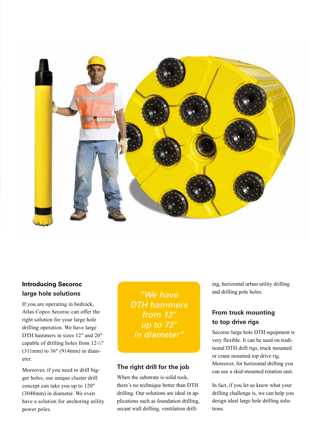

### **Introducing Secoroc large hole solutions**

If you are operating in bedrock, Atlas Copco Secoroc can offer the right solution for your large hole drilling operation. We have large DTH hammers in sizes 12" and 20" capable of drilling holes from 121/4" (311mm) to 36" (914mm) in diameter.

Moreover, if you need to drill bigger holes, our unique cluster drill concept can take you up to 120" (3048mm) in diameter. We even have a solution for anchoring utility power poles.

*"We have DTH hammers from 12" up to 72" in diameter"*

#### **The right drill for the job**

When the substrate is solid rock, there's no technique better than DTH drilling. Our solutions are ideal in applications such as foundation drilling, secant wall drilling, ventilation drilling, horizontal urban utility drilling and drilling pole holes.

### **From truck mounting to top drive rigs**

Secoroc large hole DTH equipment is very flexible. It can be used on traditional DTH drill rigs, truck mounted or crane mounted top drive rig. Moreover, for horizontal drilling you can use a skid-mounted rotation unit.

In fact, if you let us know what your drilling challenge is, we can help you design ideal large hole drilling solutions.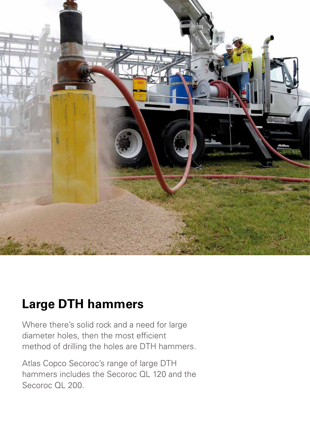

## **Large DTH hammers**

Where there's solid rock and a need for large diameter holes, then the most efficient method of drilling the holes are DTH hammers.

Atlas Copco Secoroc's range of large DTH hammers includes the Secoroc QL 120 and the Secoroc QL 200.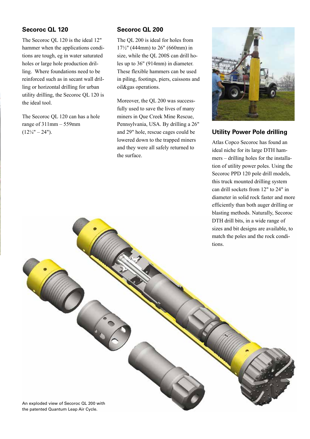#### **Secoroc QL 120**

The Secoroc QL 120 is the ideal 12" hammer when the applications conditions are tough, eg in water saturated holes or large hole production drilling. Where foundations need to be reinforced such as in secant wall drilling or horizontal drilling for urban utility drilling, the Secoroc QL 120 is the ideal tool.

The Secoroc QL 120 can has a hole range of  $311$ mm –  $559$ mm  $(12\frac{1}{4} - 24)$ .

#### **Secoroc QL 200**

The QL 200 is ideal for holes from 17½" (444mm) to 26" (660mm) in size, while the QL 200S can drill holes up to 36" (914mm) in diameter. These flexible hammers can be used in piling, footings, piers, caissons and oil&gas operations.

Moreover, the QL 200 was successfully used to save the lives of many miners in Que Creek Mine Rescue, Pennsylvania, USA. By drilling a 26" and 29" hole, rescue cages could be lowered down to the trapped miners and they were all safely returned to the surface.



#### **Utility Power Pole drilling**

Atlas Copco Secoroc has found an ideal niche for its large DTH hammers – drilling holes for the installation of utility power poles. Using the Secoroc PPD 120 pole drill models, this truck mounted drilling system can drill sockets from 12" to 24" in diameter in solid rock faster and more efficiently than both auger drilling or blasting methods. Naturally, Secoroc DTH drill bits, in a wide range of sizes and bit designs are available, to match the poles and the rock conditions.

An exploded view of Secoroc QL 200 with the patented Quantum Leap Air Cycle.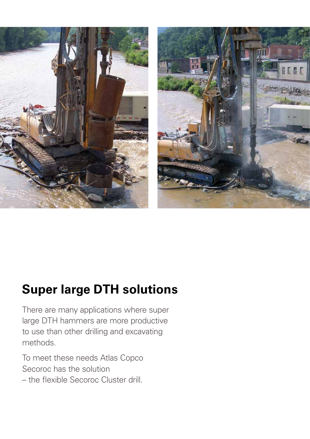

## **Super large DTH solutions**

There are many applications where super large DTH hammers are more productive to use than other drilling and excavating methods.

To meet these needs Atlas Copco Secoroc has the solution

– the flexible Secoroc Cluster drill.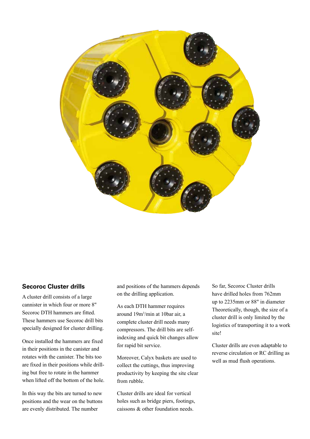

#### **Secoroc Cluster drills**

A cluster drill consists of a large cannister in which four or more 8" Secoroc DTH hammers are fitted. These hammers use Secoroc drill bits specially designed for cluster drilling.

Once installed the hammers are fixed in their positions in the canister and rotates with the canister. The bits too are fixed in their positions while drilling but free to rotate in the hammer when lifted off the bottom of the hole.

In this way the bits are turned to new positions and the wear on the buttons are evenly distributed. The number

and positions of the hammers depends on the drilling application.

As each DTH hammer requires around 19m3 /min at 10bar air, a complete cluster drill needs many compressors. The drill bits are selfindexing and quick bit changes allow for rapid bit service.

Moreover, Calyx baskets are used to collect the cuttings, thus improving productivity by keeping the site clear from rubble.

Cluster drills are ideal for vertical holes such as bridge piers, footings, caissons & other foundation needs.

So far, Secoroc Cluster drills have drilled holes from 762mm up to 2235mm or 88" in diameter Theoretically, though, the size of a cluster drill is only limited by the logistics of transporting it to a work site!

Cluster drills are even adaptable to reverse circulation or RC drilling as well as mud flush operations.